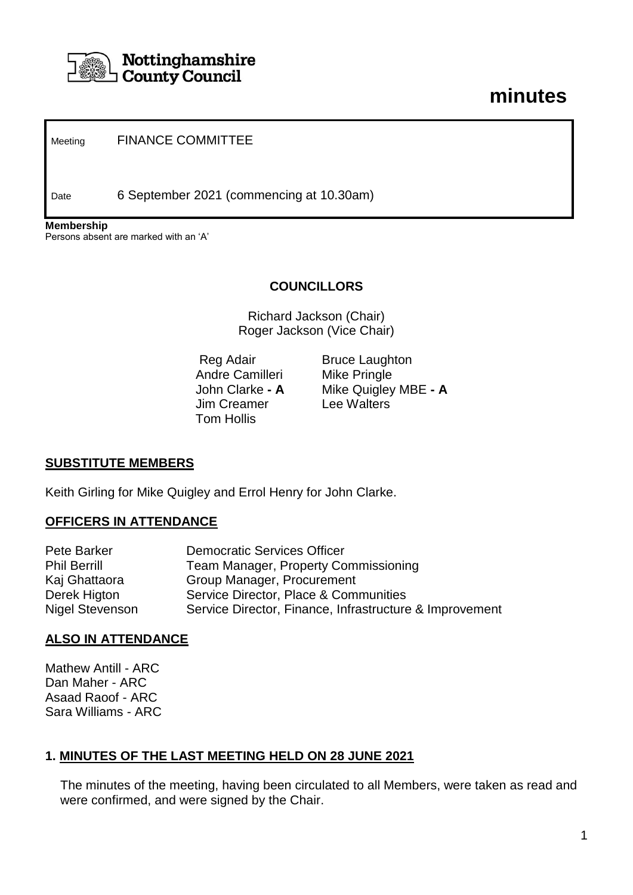

# **minutes**

Meeting FINANCE COMMITTEE

Date 6 September 2021 (commencing at 10.30am)

**Membership** Persons absent are marked with an 'A'

#### **COUNCILLORS**

Richard Jackson (Chair) Roger Jackson (Vice Chair)

Andre Camilleri Mike Pringle Jim Creamer Lee Walters Tom Hollis

Reg Adair Bruce Laughton John Clarke **- A** Mike Quigley MBE **- A**

#### **SUBSTITUTE MEMBERS**

Keith Girling for Mike Quigley and Errol Henry for John Clarke.

#### **OFFICERS IN ATTENDANCE**

| Pete Barker         | <b>Democratic Services Officer</b>                      |
|---------------------|---------------------------------------------------------|
| <b>Phil Berrill</b> | <b>Team Manager, Property Commissioning</b>             |
| Kaj Ghattaora       | Group Manager, Procurement                              |
| Derek Higton        | Service Director, Place & Communities                   |
| Nigel Stevenson     | Service Director, Finance, Infrastructure & Improvement |

#### **ALSO IN ATTENDANCE**

Mathew Antill - ARC Dan Maher - ARC Asaad Raoof - ARC Sara Williams - ARC

#### **1. MINUTES OF THE LAST MEETING HELD ON 28 JUNE 2021**

The minutes of the meeting, having been circulated to all Members, were taken as read and were confirmed, and were signed by the Chair.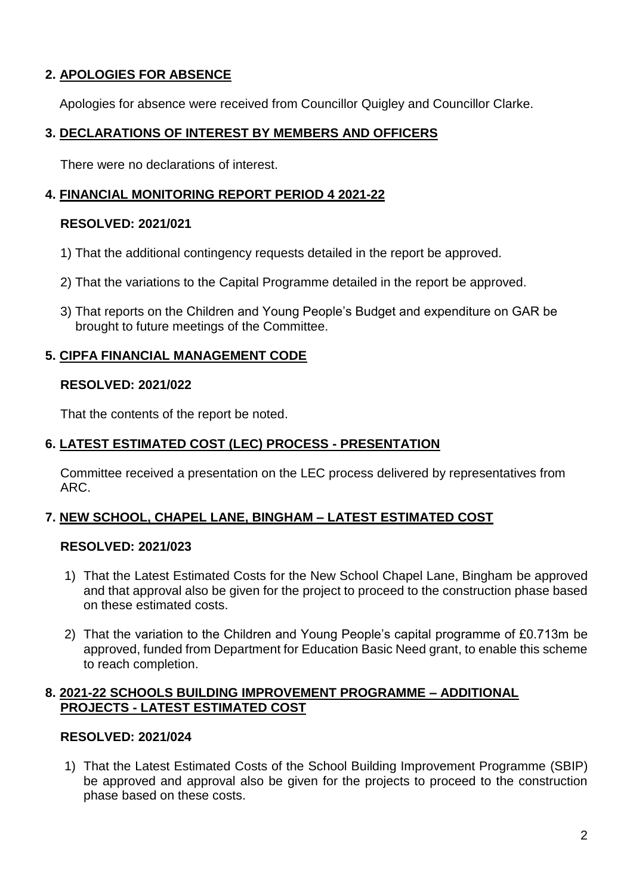# **2. APOLOGIES FOR ABSENCE**

Apologies for absence were received from Councillor Quigley and Councillor Clarke.

## **3. DECLARATIONS OF INTEREST BY MEMBERS AND OFFICERS**

There were no declarations of interest.

# **4. FINANCIAL MONITORING REPORT PERIOD 4 2021-22**

#### **RESOLVED: 2021/021**

- 1) That the additional contingency requests detailed in the report be approved.
- 2) That the variations to the Capital Programme detailed in the report be approved.
- 3) That reports on the Children and Young People's Budget and expenditure on GAR be brought to future meetings of the Committee.

#### **5. CIPFA FINANCIAL MANAGEMENT CODE**

#### **RESOLVED: 2021/022**

That the contents of the report be noted.

## **6. LATEST ESTIMATED COST (LEC) PROCESS - PRESENTATION**

Committee received a presentation on the LEC process delivered by representatives from ARC.

## **7. NEW SCHOOL, CHAPEL LANE, BINGHAM – LATEST ESTIMATED COST**

## **RESOLVED: 2021/023**

- 1) That the Latest Estimated Costs for the New School Chapel Lane, Bingham be approved and that approval also be given for the project to proceed to the construction phase based on these estimated costs.
- 2) That the variation to the Children and Young People's capital programme of £0.713m be approved, funded from Department for Education Basic Need grant, to enable this scheme to reach completion.

#### **8. 2021-22 SCHOOLS BUILDING IMPROVEMENT PROGRAMME – ADDITIONAL PROJECTS - LATEST ESTIMATED COST**

## **RESOLVED: 2021/024**

1) That the Latest Estimated Costs of the School Building Improvement Programme (SBIP) be approved and approval also be given for the projects to proceed to the construction phase based on these costs.